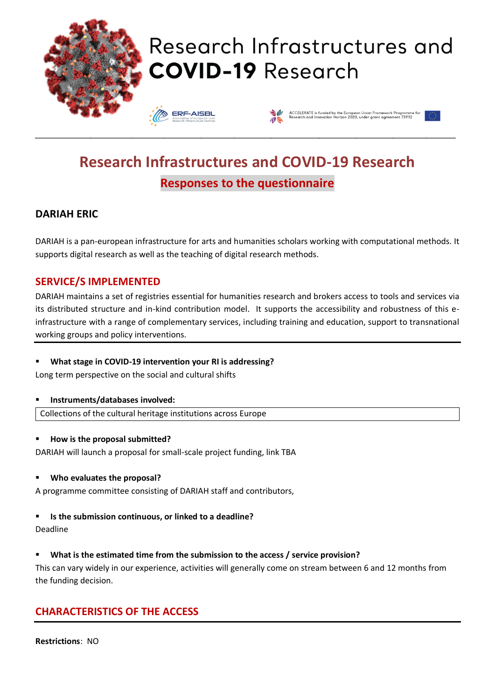

# Research Infrastructures and **COVID-19 Research**





## **Research Infrastructures and COVID-19 Research Responses to the questionnaire**

\_\_\_\_\_\_\_\_\_\_\_\_\_\_\_\_\_\_\_\_\_\_\_\_\_\_\_\_\_\_\_\_\_\_\_\_\_\_\_\_\_\_\_\_\_\_\_\_\_\_\_\_\_\_\_\_\_\_\_\_\_\_\_\_\_\_\_\_\_\_\_\_\_\_\_\_\_\_\_\_\_\_\_\_\_\_\_\_\_\_\_\_\_\_\_\_\_\_\_\_\_\_\_\_\_\_\_\_\_\_\_\_\_\_

## **DARIAH ERIC**

DARIAH is a pan-european infrastructure for arts and humanities scholars working with computational methods. It supports digital research as well as the teaching of digital research methods.

## **SERVICE/S IMPLEMENTED**

DARIAH maintains a set of registries essential for humanities research and brokers access to tools and services via its distributed structure and in-kind contribution model. It supports the accessibility and robustness of this einfrastructure with a range of complementary services, including training and education, support to transnational working groups and policy interventions.

## ▪ **What stage in COVID-19 intervention your RI is addressing?**

Long term perspective on the social and cultural shifts

## ▪ **Instruments/databases involved:**

Collections of the cultural heritage institutions across Europe

## ▪ **How is the proposal submitted?**

DARIAH will launch a proposal for small-scale project funding, link TBA

## ▪ **Who evaluates the proposal?**

A programme committee consisting of DARIAH staff and contributors,

## ▪ **Is the submission continuous, or linked to a deadline?**

Deadline

## ▪ **What is the estimated time from the submission to the access / service provision?**

This can vary widely in our experience, activities will generally come on stream between 6 and 12 months from the funding decision.

## **CHARACTERISTICS OF THE ACCESS**

**Restrictions**: NO